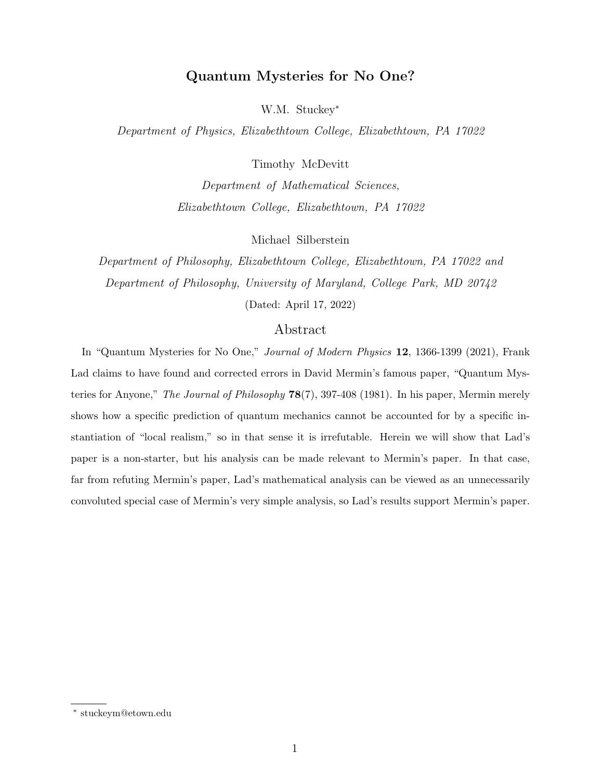# Quantum Mysteries for No One?

W.M. Stuckey<sup>∗</sup>

Department of Physics, Elizabethtown College, Elizabethtown, PA 17022

Timothy McDevitt

Department of Mathematical Sciences, Elizabethtown College, Elizabethtown, PA 17022

Michael Silberstein

Department of Philosophy, Elizabethtown College, Elizabethtown, PA 17022 and Department of Philosophy, University of Maryland, College Park, MD 20742 (Dated: April 17, 2022)

## Abstract

In "Quantum Mysteries for No One," Journal of Modern Physics 12, 1366-1399 (2021), Frank Lad claims to have found and corrected errors in David Mermin's famous paper, "Quantum Mysteries for Anyone," The Journal of Philosophy 78(7), 397-408 (1981). In his paper, Mermin merely shows how a specific prediction of quantum mechanics cannot be accounted for by a specific instantiation of "local realism," so in that sense it is irrefutable. Herein we will show that Lad's paper is a non-starter, but his analysis can be made relevant to Mermin's paper. In that case, far from refuting Mermin's paper, Lad's mathematical analysis can be viewed as an unnecessarily convoluted special case of Mermin's very simple analysis, so Lad's results support Mermin's paper.

<sup>∗</sup> stuckeym@etown.edu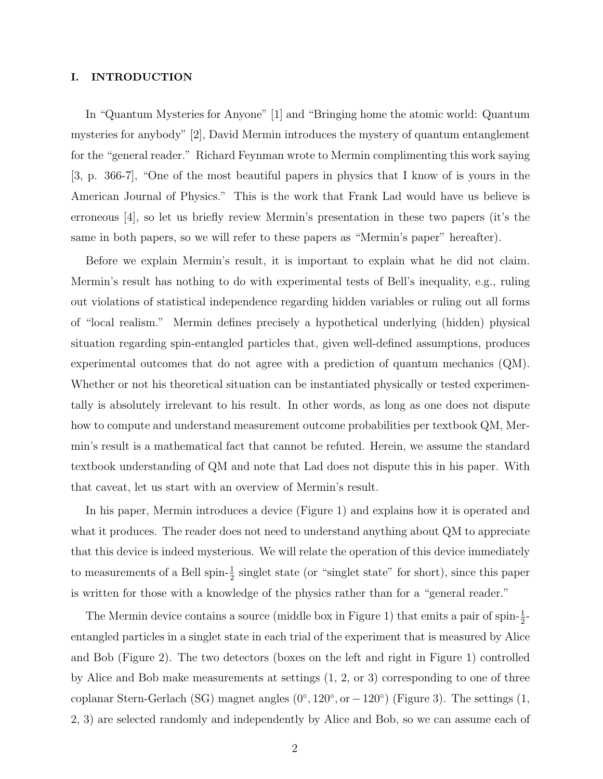## I. INTRODUCTION

In "Quantum Mysteries for Anyone" [1] and "Bringing home the atomic world: Quantum mysteries for anybody" [2], David Mermin introduces the mystery of quantum entanglement for the "general reader." Richard Feynman wrote to Mermin complimenting this work saying [3, p. 366-7], "One of the most beautiful papers in physics that I know of is yours in the American Journal of Physics." This is the work that Frank Lad would have us believe is erroneous [4], so let us briefly review Mermin's presentation in these two papers (it's the same in both papers, so we will refer to these papers as "Mermin's paper" hereafter).

Before we explain Mermin's result, it is important to explain what he did not claim. Mermin's result has nothing to do with experimental tests of Bell's inequality, e.g., ruling out violations of statistical independence regarding hidden variables or ruling out all forms of "local realism." Mermin defines precisely a hypothetical underlying (hidden) physical situation regarding spin-entangled particles that, given well-defined assumptions, produces experimental outcomes that do not agree with a prediction of quantum mechanics (QM). Whether or not his theoretical situation can be instantiated physically or tested experimentally is absolutely irrelevant to his result. In other words, as long as one does not dispute how to compute and understand measurement outcome probabilities per textbook QM, Mermin's result is a mathematical fact that cannot be refuted. Herein, we assume the standard textbook understanding of QM and note that Lad does not dispute this in his paper. With that caveat, let us start with an overview of Mermin's result.

In his paper, Mermin introduces a device (Figure 1) and explains how it is operated and what it produces. The reader does not need to understand anything about QM to appreciate that this device is indeed mysterious. We will relate the operation of this device immediately to measurements of a Bell spin- $\frac{1}{2}$  singlet state (or "singlet state" for short), since this paper is written for those with a knowledge of the physics rather than for a "general reader."

The Mermin device contains a source (middle box in Figure 1) that emits a pair of spin- $\frac{1}{2}$ entangled particles in a singlet state in each trial of the experiment that is measured by Alice and Bob (Figure 2). The two detectors (boxes on the left and right in Figure 1) controlled by Alice and Bob make measurements at settings (1, 2, or 3) corresponding to one of three coplanar Stern-Gerlach (SG) magnet angles  $(0^{\circ}, 120^{\circ}, or -120^{\circ})$  (Figure 3). The settings  $(1,$ 2, 3) are selected randomly and independently by Alice and Bob, so we can assume each of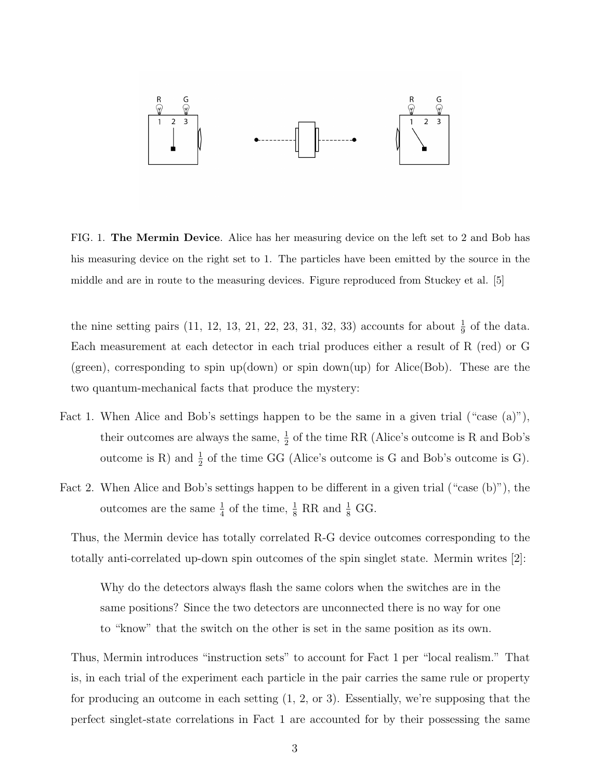

FIG. 1. The Mermin Device. Alice has her measuring device on the left set to 2 and Bob has his measuring device on the right set to 1. The particles have been emitted by the source in the middle and are in route to the measuring devices. Figure reproduced from Stuckey et al. [5]

the nine setting pairs (11, 12, 13, 21, 22, 23, 31, 32, 33) accounts for about  $\frac{1}{9}$  of the data. Each measurement at each detector in each trial produces either a result of R (red) or G (green), corresponding to spin up(down) or spin down(up) for Alice(Bob). These are the two quantum-mechanical facts that produce the mystery:

- Fact 1. When Alice and Bob's settings happen to be the same in a given trial ("case  $(a)$ "), their outcomes are always the same,  $\frac{1}{2}$  of the time RR (Alice's outcome is R and Bob's outcome is R) and  $\frac{1}{2}$  of the time GG (Alice's outcome is G and Bob's outcome is G).
- Fact 2. When Alice and Bob's settings happen to be different in a given trial ("case (b)"), the outcomes are the same  $\frac{1}{4}$  of the time,  $\frac{1}{8}$  RR and  $\frac{1}{8}$  GG.

Thus, the Mermin device has totally correlated R-G device outcomes corresponding to the totally anti-correlated up-down spin outcomes of the spin singlet state. Mermin writes [2]:

Why do the detectors always flash the same colors when the switches are in the same positions? Since the two detectors are unconnected there is no way for one to "know" that the switch on the other is set in the same position as its own.

Thus, Mermin introduces "instruction sets" to account for Fact 1 per "local realism." That is, in each trial of the experiment each particle in the pair carries the same rule or property for producing an outcome in each setting (1, 2, or 3). Essentially, we're supposing that the perfect singlet-state correlations in Fact 1 are accounted for by their possessing the same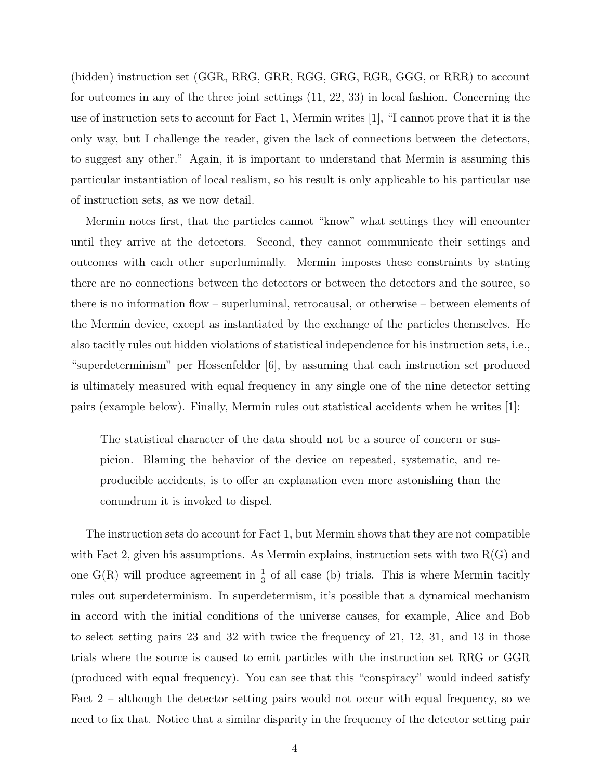(hidden) instruction set (GGR, RRG, GRR, RGG, GRG, RGR, GGG, or RRR) to account for outcomes in any of the three joint settings (11, 22, 33) in local fashion. Concerning the use of instruction sets to account for Fact 1, Mermin writes [1], "I cannot prove that it is the only way, but I challenge the reader, given the lack of connections between the detectors, to suggest any other." Again, it is important to understand that Mermin is assuming this particular instantiation of local realism, so his result is only applicable to his particular use of instruction sets, as we now detail.

Mermin notes first, that the particles cannot "know" what settings they will encounter until they arrive at the detectors. Second, they cannot communicate their settings and outcomes with each other superluminally. Mermin imposes these constraints by stating there are no connections between the detectors or between the detectors and the source, so there is no information flow – superluminal, retrocausal, or otherwise – between elements of the Mermin device, except as instantiated by the exchange of the particles themselves. He also tacitly rules out hidden violations of statistical independence for his instruction sets, i.e., "superdeterminism" per Hossenfelder [6], by assuming that each instruction set produced is ultimately measured with equal frequency in any single one of the nine detector setting pairs (example below). Finally, Mermin rules out statistical accidents when he writes [1]:

The statistical character of the data should not be a source of concern or suspicion. Blaming the behavior of the device on repeated, systematic, and reproducible accidents, is to offer an explanation even more astonishing than the conundrum it is invoked to dispel.

The instruction sets do account for Fact 1, but Mermin shows that they are not compatible with Fact 2, given his assumptions. As Mermin explains, instruction sets with two  $R(G)$  and one  $G(R)$  will produce agreement in  $\frac{1}{3}$  of all case (b) trials. This is where Mermin tacitly rules out superdeterminism. In superdetermism, it's possible that a dynamical mechanism in accord with the initial conditions of the universe causes, for example, Alice and Bob to select setting pairs 23 and 32 with twice the frequency of 21, 12, 31, and 13 in those trials where the source is caused to emit particles with the instruction set RRG or GGR (produced with equal frequency). You can see that this "conspiracy" would indeed satisfy Fact 2 – although the detector setting pairs would not occur with equal frequency, so we need to fix that. Notice that a similar disparity in the frequency of the detector setting pair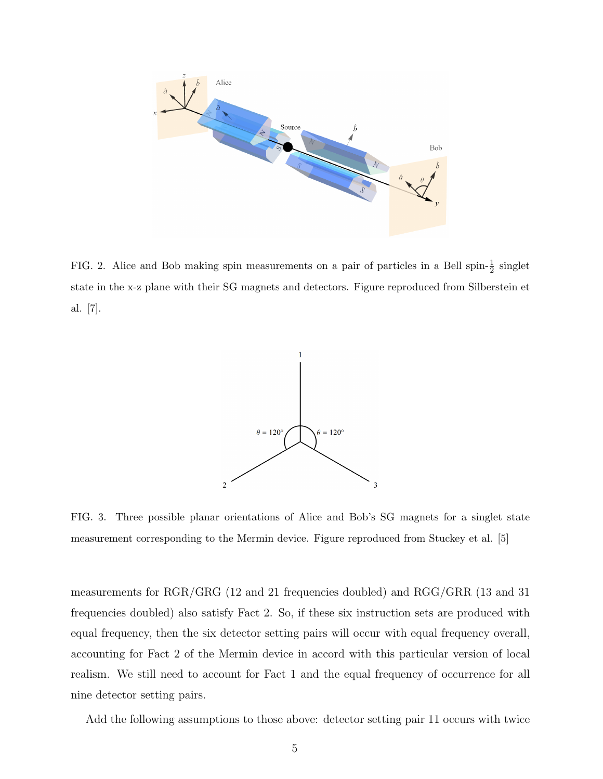

FIG. 2. Alice and Bob making spin measurements on a pair of particles in a Bell spin- $\frac{1}{2}$  singlet state in the x-z plane with their SG magnets and detectors. Figure reproduced from Silberstein et al. [7].



FIG. 3. Three possible planar orientations of Alice and Bob's SG magnets for a singlet state measurement corresponding to the Mermin device. Figure reproduced from Stuckey et al. [5]

measurements for RGR/GRG (12 and 21 frequencies doubled) and RGG/GRR (13 and 31 frequencies doubled) also satisfy Fact 2. So, if these six instruction sets are produced with equal frequency, then the six detector setting pairs will occur with equal frequency overall, accounting for Fact 2 of the Mermin device in accord with this particular version of local realism. We still need to account for Fact 1 and the equal frequency of occurrence for all nine detector setting pairs.

Add the following assumptions to those above: detector setting pair 11 occurs with twice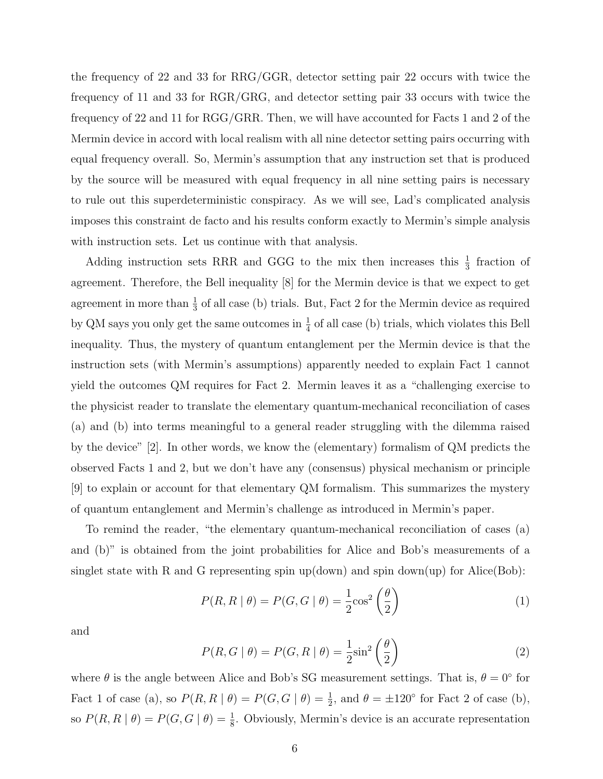the frequency of 22 and 33 for RRG/GGR, detector setting pair 22 occurs with twice the frequency of 11 and 33 for RGR/GRG, and detector setting pair 33 occurs with twice the frequency of 22 and 11 for RGG/GRR. Then, we will have accounted for Facts 1 and 2 of the Mermin device in accord with local realism with all nine detector setting pairs occurring with equal frequency overall. So, Mermin's assumption that any instruction set that is produced by the source will be measured with equal frequency in all nine setting pairs is necessary to rule out this superdeterministic conspiracy. As we will see, Lad's complicated analysis imposes this constraint de facto and his results conform exactly to Mermin's simple analysis with instruction sets. Let us continue with that analysis.

Adding instruction sets RRR and GGG to the mix then increases this  $\frac{1}{3}$  fraction of agreement. Therefore, the Bell inequality [8] for the Mermin device is that we expect to get agreement in more than  $\frac{1}{3}$  of all case (b) trials. But, Fact 2 for the Mermin device as required by QM says you only get the same outcomes in  $\frac{1}{4}$  of all case (b) trials, which violates this Bell inequality. Thus, the mystery of quantum entanglement per the Mermin device is that the instruction sets (with Mermin's assumptions) apparently needed to explain Fact 1 cannot yield the outcomes QM requires for Fact 2. Mermin leaves it as a "challenging exercise to the physicist reader to translate the elementary quantum-mechanical reconciliation of cases (a) and (b) into terms meaningful to a general reader struggling with the dilemma raised by the device" [2]. In other words, we know the (elementary) formalism of QM predicts the observed Facts 1 and 2, but we don't have any (consensus) physical mechanism or principle [9] to explain or account for that elementary QM formalism. This summarizes the mystery of quantum entanglement and Mermin's challenge as introduced in Mermin's paper.

To remind the reader, "the elementary quantum-mechanical reconciliation of cases (a) and (b)" is obtained from the joint probabilities for Alice and Bob's measurements of a singlet state with R and G representing spin up(down) and spin down(up) for Alice(Bob):

$$
P(R, R \mid \theta) = P(G, G \mid \theta) = \frac{1}{2} \cos^2 \left(\frac{\theta}{2}\right)
$$
 (1)

and

$$
P(R, G | \theta) = P(G, R | \theta) = \frac{1}{2} \sin^2 \left(\frac{\theta}{2}\right)
$$
 (2)

where  $\theta$  is the angle between Alice and Bob's SG measurement settings. That is,  $\theta = 0^{\circ}$  for Fact 1 of case (a), so  $P(R, R | \theta) = P(G, G | \theta) = \frac{1}{2}$ , and  $\theta = \pm 120^{\circ}$  for Fact 2 of case (b), so  $P(R, R | \theta) = P(G, G | \theta) = \frac{1}{8}$ . Obviously, Mermin's device is an accurate representation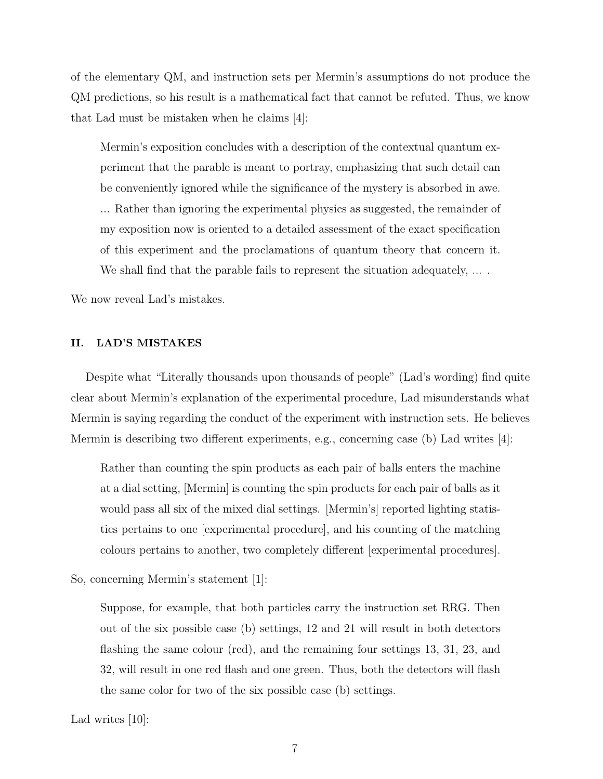of the elementary QM, and instruction sets per Mermin's assumptions do not produce the QM predictions, so his result is a mathematical fact that cannot be refuted. Thus, we know that Lad must be mistaken when he claims [4]:

Mermin's exposition concludes with a description of the contextual quantum experiment that the parable is meant to portray, emphasizing that such detail can be conveniently ignored while the significance of the mystery is absorbed in awe. ... Rather than ignoring the experimental physics as suggested, the remainder of my exposition now is oriented to a detailed assessment of the exact specification of this experiment and the proclamations of quantum theory that concern it. We shall find that the parable fails to represent the situation adequately, ....

We now reveal Lad's mistakes.

## II. LAD'S MISTAKES

Despite what "Literally thousands upon thousands of people" (Lad's wording) find quite clear about Mermin's explanation of the experimental procedure, Lad misunderstands what Mermin is saying regarding the conduct of the experiment with instruction sets. He believes Mermin is describing two different experiments, e.g., concerning case (b) Lad writes [4]:

Rather than counting the spin products as each pair of balls enters the machine at a dial setting, [Mermin] is counting the spin products for each pair of balls as it would pass all six of the mixed dial settings. [Mermin's] reported lighting statistics pertains to one [experimental procedure], and his counting of the matching colours pertains to another, two completely different [experimental procedures].

So, concerning Mermin's statement [1]:

Suppose, for example, that both particles carry the instruction set RRG. Then out of the six possible case (b) settings, 12 and 21 will result in both detectors flashing the same colour (red), and the remaining four settings 13, 31, 23, and 32, will result in one red flash and one green. Thus, both the detectors will flash the same color for two of the six possible case (b) settings.

Lad writes [10]: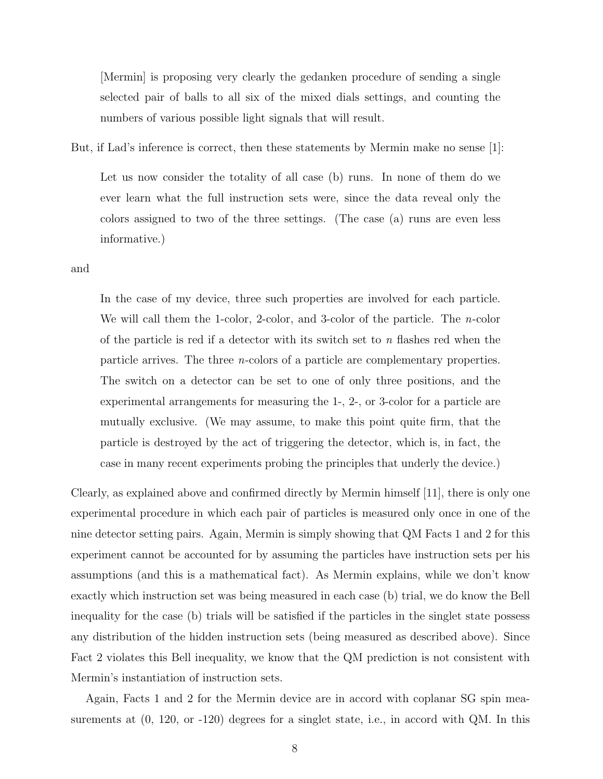[Mermin] is proposing very clearly the gedanken procedure of sending a single selected pair of balls to all six of the mixed dials settings, and counting the numbers of various possible light signals that will result.

But, if Lad's inference is correct, then these statements by Mermin make no sense [1]:

Let us now consider the totality of all case (b) runs. In none of them do we ever learn what the full instruction sets were, since the data reveal only the colors assigned to two of the three settings. (The case (a) runs are even less informative.)

and

In the case of my device, three such properties are involved for each particle. We will call them the 1-color, 2-color, and 3-color of the particle. The *n*-color of the particle is red if a detector with its switch set to n flashes red when the particle arrives. The three n-colors of a particle are complementary properties. The switch on a detector can be set to one of only three positions, and the experimental arrangements for measuring the 1-, 2-, or 3-color for a particle are mutually exclusive. (We may assume, to make this point quite firm, that the particle is destroyed by the act of triggering the detector, which is, in fact, the case in many recent experiments probing the principles that underly the device.)

Clearly, as explained above and confirmed directly by Mermin himself [11], there is only one experimental procedure in which each pair of particles is measured only once in one of the nine detector setting pairs. Again, Mermin is simply showing that QM Facts 1 and 2 for this experiment cannot be accounted for by assuming the particles have instruction sets per his assumptions (and this is a mathematical fact). As Mermin explains, while we don't know exactly which instruction set was being measured in each case (b) trial, we do know the Bell inequality for the case (b) trials will be satisfied if the particles in the singlet state possess any distribution of the hidden instruction sets (being measured as described above). Since Fact 2 violates this Bell inequality, we know that the QM prediction is not consistent with Mermin's instantiation of instruction sets.

Again, Facts 1 and 2 for the Mermin device are in accord with coplanar SG spin measurements at  $(0, 120, \text{ or } -120)$  degrees for a singlet state, i.e., in accord with QM. In this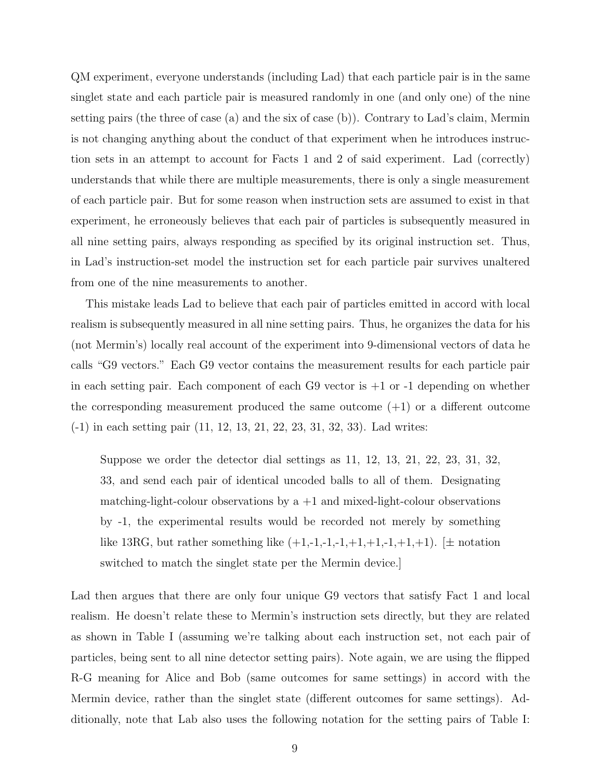QM experiment, everyone understands (including Lad) that each particle pair is in the same singlet state and each particle pair is measured randomly in one (and only one) of the nine setting pairs (the three of case (a) and the six of case (b)). Contrary to Lad's claim, Mermin is not changing anything about the conduct of that experiment when he introduces instruction sets in an attempt to account for Facts 1 and 2 of said experiment. Lad (correctly) understands that while there are multiple measurements, there is only a single measurement of each particle pair. But for some reason when instruction sets are assumed to exist in that experiment, he erroneously believes that each pair of particles is subsequently measured in all nine setting pairs, always responding as specified by its original instruction set. Thus, in Lad's instruction-set model the instruction set for each particle pair survives unaltered from one of the nine measurements to another.

This mistake leads Lad to believe that each pair of particles emitted in accord with local realism is subsequently measured in all nine setting pairs. Thus, he organizes the data for his (not Mermin's) locally real account of the experiment into 9-dimensional vectors of data he calls "G9 vectors." Each G9 vector contains the measurement results for each particle pair in each setting pair. Each component of each  $G9$  vector is  $+1$  or  $-1$  depending on whether the corresponding measurement produced the same outcome  $(+1)$  or a different outcome (-1) in each setting pair (11, 12, 13, 21, 22, 23, 31, 32, 33). Lad writes:

Suppose we order the detector dial settings as 11, 12, 13, 21, 22, 23, 31, 32, 33, and send each pair of identical uncoded balls to all of them. Designating matching-light-colour observations by  $a +1$  and mixed-light-colour observations by -1, the experimental results would be recorded not merely by something like 13RG, but rather something like  $(+1,-1,-1,-1,+1,+1,+1,+1)$ .  $[\pm \text{ notation}$ switched to match the singlet state per the Mermin device.]

Lad then argues that there are only four unique G9 vectors that satisfy Fact 1 and local realism. He doesn't relate these to Mermin's instruction sets directly, but they are related as shown in Table I (assuming we're talking about each instruction set, not each pair of particles, being sent to all nine detector setting pairs). Note again, we are using the flipped R-G meaning for Alice and Bob (same outcomes for same settings) in accord with the Mermin device, rather than the singlet state (different outcomes for same settings). Additionally, note that Lab also uses the following notation for the setting pairs of Table I: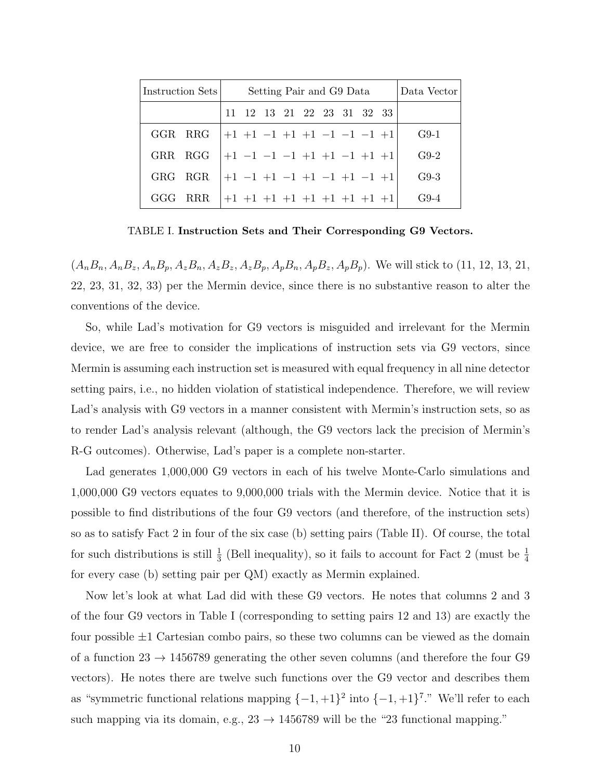| Instruction Sets | Setting Pair and G9 Data                     | Data Vector |
|------------------|----------------------------------------------|-------------|
|                  | 11 12 13 21 22 23 31 32 33                   |             |
| GGR RRG          | $ +1$ +1 -1 +1 +1 -1 -1 -1 +1                | $G9-1$      |
|                  | GRR RGG $ +1 -1 -1 -1 +1 +1 -1 +1 +1 $       | $G9-2$      |
| GRG RGR          | $+1$ $-1$ $+1$ $-1$ $+1$ $-1$ $+1$ $-1$ $+1$ | $G9-3$      |
| GGG RRR          | $ +1$ +1 +1 +1 +1 +1 +1 +1 +1                | $G9-4$      |

TABLE I. Instruction Sets and Their Corresponding G9 Vectors.

 $(A_nB_n, A_nB_z, A_nB_p, A_zB_n, A_zB_z, A_zB_p, A_pB_n, A_pB_z, A_pB_p)$ . We will stick to (11, 12, 13, 21, 22, 23, 31, 32, 33) per the Mermin device, since there is no substantive reason to alter the conventions of the device.

So, while Lad's motivation for G9 vectors is misguided and irrelevant for the Mermin device, we are free to consider the implications of instruction sets via G9 vectors, since Mermin is assuming each instruction set is measured with equal frequency in all nine detector setting pairs, i.e., no hidden violation of statistical independence. Therefore, we will review Lad's analysis with G9 vectors in a manner consistent with Mermin's instruction sets, so as to render Lad's analysis relevant (although, the G9 vectors lack the precision of Mermin's R-G outcomes). Otherwise, Lad's paper is a complete non-starter.

Lad generates 1,000,000 G9 vectors in each of his twelve Monte-Carlo simulations and 1,000,000 G9 vectors equates to 9,000,000 trials with the Mermin device. Notice that it is possible to find distributions of the four G9 vectors (and therefore, of the instruction sets) so as to satisfy Fact 2 in four of the six case (b) setting pairs (Table II). Of course, the total for such distributions is still  $\frac{1}{3}$  (Bell inequality), so it fails to account for Fact 2 (must be  $\frac{1}{4}$ for every case (b) setting pair per QM) exactly as Mermin explained.

Now let's look at what Lad did with these G9 vectors. He notes that columns 2 and 3 of the four G9 vectors in Table I (corresponding to setting pairs 12 and 13) are exactly the four possible  $\pm 1$  Cartesian combo pairs, so these two columns can be viewed as the domain of a function  $23 \rightarrow 1456789$  generating the other seven columns (and therefore the four G9 vectors). He notes there are twelve such functions over the G9 vector and describes them as "symmetric functional relations mapping  $\{-1,+1\}^2$  into  $\{-1,+1\}^7$ ." We'll refer to each such mapping via its domain, e.g.,  $23 \rightarrow 1456789$  will be the "23 functional mapping."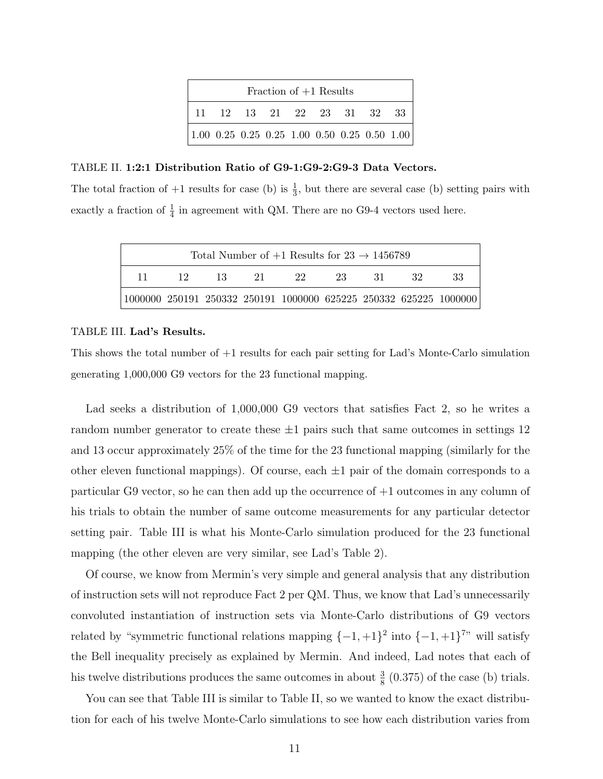| Fraction of $+1$ Results                                                           |  |                            |  |  |  |  |  |  |  |
|------------------------------------------------------------------------------------|--|----------------------------|--|--|--|--|--|--|--|
|                                                                                    |  | 11 12 13 21 22 23 31 32 33 |  |  |  |  |  |  |  |
| $\vert 1.00 \; 0.25 \; 0.25 \; 0.25 \; 1.00 \; 0.50 \; 0.25 \; 0.50 \; 1.00 \vert$ |  |                            |  |  |  |  |  |  |  |

#### TABLE II. 1:2:1 Distribution Ratio of G9-1:G9-2:G9-3 Data Vectors.

The total fraction of  $+1$  results for case (b) is  $\frac{1}{3}$ , but there are several case (b) setting pairs with exactly a fraction of  $\frac{1}{4}$  in agreement with QM. There are no G9-4 vectors used here.

| Total Number of $+1$ Results for $23 \rightarrow 1456789$                            |           |  |              |  |      |        |    |    |  |
|--------------------------------------------------------------------------------------|-----------|--|--------------|--|------|--------|----|----|--|
| 11.                                                                                  | -13<br>12 |  | 22<br>$21 -$ |  | -23. | - 31 - | 32 | 33 |  |
| $ 1000000 \t250191 \t250332 \t250191 \t1000000 \t625225 \t250332 \t625225 \t1000000$ |           |  |              |  |      |        |    |    |  |

#### TABLE III. Lad's Results.

This shows the total number of +1 results for each pair setting for Lad's Monte-Carlo simulation generating 1,000,000 G9 vectors for the 23 functional mapping.

Lad seeks a distribution of 1,000,000 G9 vectors that satisfies Fact 2, so he writes a random number generator to create these  $\pm 1$  pairs such that same outcomes in settings 12 and 13 occur approximately 25% of the time for the 23 functional mapping (similarly for the other eleven functional mappings). Of course, each  $\pm 1$  pair of the domain corresponds to a particular G9 vector, so he can then add up the occurrence of +1 outcomes in any column of his trials to obtain the number of same outcome measurements for any particular detector setting pair. Table III is what his Monte-Carlo simulation produced for the 23 functional mapping (the other eleven are very similar, see Lad's Table 2).

Of course, we know from Mermin's very simple and general analysis that any distribution of instruction sets will not reproduce Fact 2 per QM. Thus, we know that Lad's unnecessarily convoluted instantiation of instruction sets via Monte-Carlo distributions of G9 vectors related by "symmetric functional relations mapping  $\{-1,+1\}^2$  into  $\{-1,+1\}^7$ " will satisfy the Bell inequality precisely as explained by Mermin. And indeed, Lad notes that each of his twelve distributions produces the same outcomes in about  $\frac{3}{8}$  (0.375) of the case (b) trials.

You can see that Table III is similar to Table II, so we wanted to know the exact distribution for each of his twelve Monte-Carlo simulations to see how each distribution varies from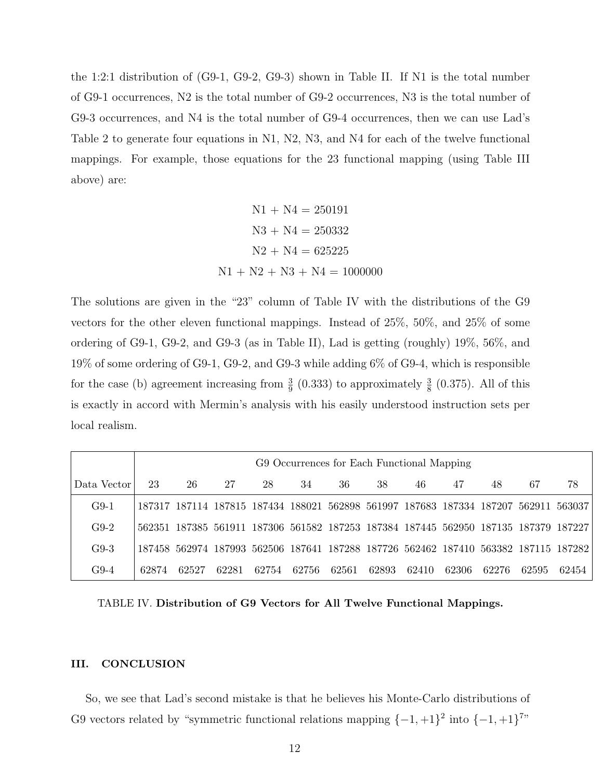the 1:2:1 distribution of (G9-1, G9-2, G9-3) shown in Table II. If N1 is the total number of G9-1 occurrences, N2 is the total number of G9-2 occurrences, N3 is the total number of G9-3 occurrences, and N4 is the total number of G9-4 occurrences, then we can use Lad's Table 2 to generate four equations in N1, N2, N3, and N4 for each of the twelve functional mappings. For example, those equations for the 23 functional mapping (using Table III above) are:

$$
N1 + N4 = 250191
$$

$$
N3 + N4 = 250332
$$

$$
N2 + N4 = 625225
$$

$$
N1 + N2 + N3 + N4 = 1000000
$$

The solutions are given in the "23" column of Table IV with the distributions of the G9 vectors for the other eleven functional mappings. Instead of 25%, 50%, and 25% of some ordering of G9-1, G9-2, and G9-3 (as in Table II), Lad is getting (roughly) 19%, 56%, and 19% of some ordering of G9-1, G9-2, and G9-3 while adding 6% of G9-4, which is responsible for the case (b) agreement increasing from  $\frac{3}{9}$  (0.333) to approximately  $\frac{3}{8}$  (0.375). All of this is exactly in accord with Mermin's analysis with his easily understood instruction sets per local realism.

|             | G9 Occurrences for Each Functional Mapping |       |       |                                                                                     |       |       |       |       |       |       |       |       |
|-------------|--------------------------------------------|-------|-------|-------------------------------------------------------------------------------------|-------|-------|-------|-------|-------|-------|-------|-------|
| Data Vector | 23                                         | 26    | 27    | 28                                                                                  | 34    | 36    | 38    | 46    | 47    | 48    | 67    | 78    |
| $G9-1$      |                                            |       |       | 187317 187114 187815 187434 188021 562898 561997 187683 187334 187207 562911 563037 |       |       |       |       |       |       |       |       |
| $G9-2$      |                                            |       |       | 562351 187385 561911 187306 561582 187253 187384 187445 562950 187135 187379 187227 |       |       |       |       |       |       |       |       |
| $G9-3$      |                                            |       |       | 187458 562974 187993 562506 187641 187288 187726 562462 187410 563382 187115 187282 |       |       |       |       |       |       |       |       |
| $G9-4$      | 62874                                      | 62527 | 62281 | 62754                                                                               | 62756 | 62561 | 62893 | 62410 | 62306 | 62276 | 62595 | 62454 |

TABLE IV. Distribution of G9 Vectors for All Twelve Functional Mappings.

#### III. CONCLUSION

So, we see that Lad's second mistake is that he believes his Monte-Carlo distributions of G9 vectors related by "symmetric functional relations mapping  $\{-1, +1\}^2$  into  $\{-1, +1\}^7$ "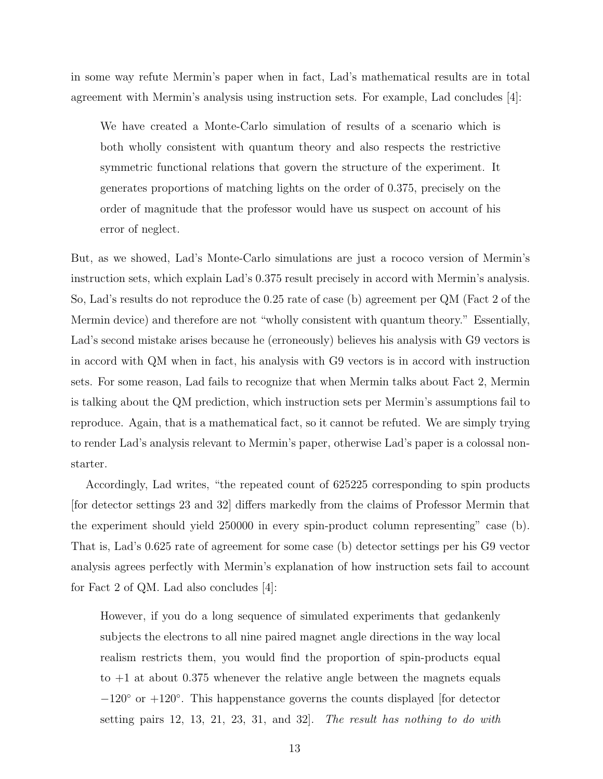in some way refute Mermin's paper when in fact, Lad's mathematical results are in total agreement with Mermin's analysis using instruction sets. For example, Lad concludes [4]:

We have created a Monte-Carlo simulation of results of a scenario which is both wholly consistent with quantum theory and also respects the restrictive symmetric functional relations that govern the structure of the experiment. It generates proportions of matching lights on the order of 0.375, precisely on the order of magnitude that the professor would have us suspect on account of his error of neglect.

But, as we showed, Lad's Monte-Carlo simulations are just a rococo version of Mermin's instruction sets, which explain Lad's 0.375 result precisely in accord with Mermin's analysis. So, Lad's results do not reproduce the 0.25 rate of case (b) agreement per QM (Fact 2 of the Mermin device) and therefore are not "wholly consistent with quantum theory." Essentially, Lad's second mistake arises because he (erroneously) believes his analysis with G9 vectors is in accord with QM when in fact, his analysis with G9 vectors is in accord with instruction sets. For some reason, Lad fails to recognize that when Mermin talks about Fact 2, Mermin is talking about the QM prediction, which instruction sets per Mermin's assumptions fail to reproduce. Again, that is a mathematical fact, so it cannot be refuted. We are simply trying to render Lad's analysis relevant to Mermin's paper, otherwise Lad's paper is a colossal nonstarter.

Accordingly, Lad writes, "the repeated count of 625225 corresponding to spin products [for detector settings 23 and 32] differs markedly from the claims of Professor Mermin that the experiment should yield 250000 in every spin-product column representing" case (b). That is, Lad's 0.625 rate of agreement for some case (b) detector settings per his G9 vector analysis agrees perfectly with Mermin's explanation of how instruction sets fail to account for Fact 2 of QM. Lad also concludes [4]:

However, if you do a long sequence of simulated experiments that gedankenly subjects the electrons to all nine paired magnet angle directions in the way local realism restricts them, you would find the proportion of spin-products equal to  $+1$  at about 0.375 whenever the relative angle between the magnets equals −120◦ or +120◦ . This happenstance governs the counts displayed [for detector setting pairs 12, 13, 21, 23, 31, and 32. The result has nothing to do with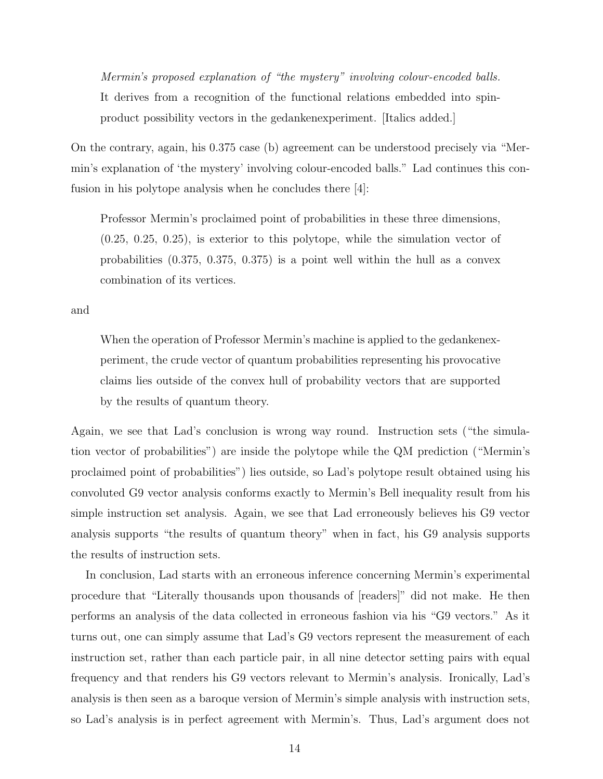Mermin's proposed explanation of "the mystery" involving colour-encoded balls. It derives from a recognition of the functional relations embedded into spinproduct possibility vectors in the gedankenexperiment. [Italics added.]

On the contrary, again, his 0.375 case (b) agreement can be understood precisely via "Mermin's explanation of 'the mystery' involving colour-encoded balls." Lad continues this confusion in his polytope analysis when he concludes there [4]:

Professor Mermin's proclaimed point of probabilities in these three dimensions,  $(0.25, 0.25, 0.25)$ , is exterior to this polytope, while the simulation vector of probabilities (0.375, 0.375, 0.375) is a point well within the hull as a convex combination of its vertices.

and

When the operation of Professor Mermin's machine is applied to the gedankenexperiment, the crude vector of quantum probabilities representing his provocative claims lies outside of the convex hull of probability vectors that are supported by the results of quantum theory.

Again, we see that Lad's conclusion is wrong way round. Instruction sets ("the simulation vector of probabilities") are inside the polytope while the QM prediction ("Mermin's proclaimed point of probabilities") lies outside, so Lad's polytope result obtained using his convoluted G9 vector analysis conforms exactly to Mermin's Bell inequality result from his simple instruction set analysis. Again, we see that Lad erroneously believes his G9 vector analysis supports "the results of quantum theory" when in fact, his G9 analysis supports the results of instruction sets.

In conclusion, Lad starts with an erroneous inference concerning Mermin's experimental procedure that "Literally thousands upon thousands of [readers]" did not make. He then performs an analysis of the data collected in erroneous fashion via his "G9 vectors." As it turns out, one can simply assume that Lad's G9 vectors represent the measurement of each instruction set, rather than each particle pair, in all nine detector setting pairs with equal frequency and that renders his G9 vectors relevant to Mermin's analysis. Ironically, Lad's analysis is then seen as a baroque version of Mermin's simple analysis with instruction sets, so Lad's analysis is in perfect agreement with Mermin's. Thus, Lad's argument does not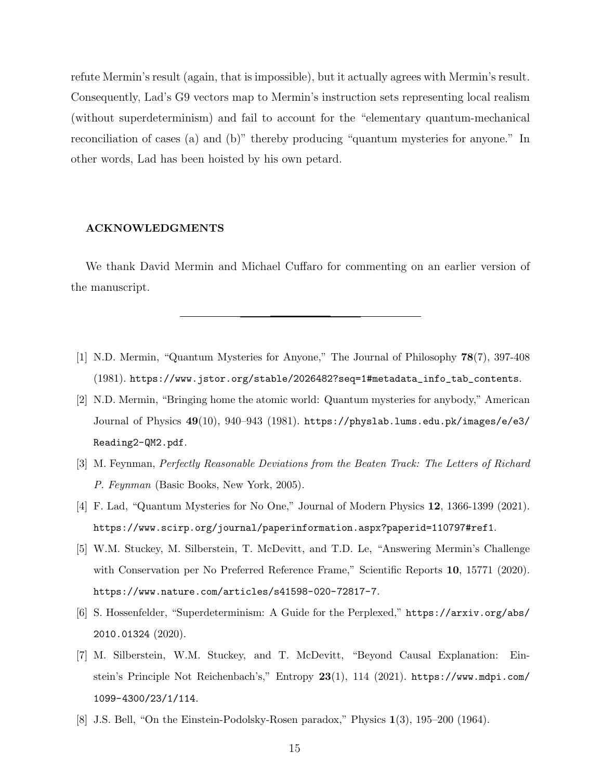refute Mermin's result (again, that is impossible), but it actually agrees with Mermin's result. Consequently, Lad's G9 vectors map to Mermin's instruction sets representing local realism (without superdeterminism) and fail to account for the "elementary quantum-mechanical reconciliation of cases (a) and (b)" thereby producing "quantum mysteries for anyone." In other words, Lad has been hoisted by his own petard.

#### ACKNOWLEDGMENTS

We thank David Mermin and Michael Cuffaro for commenting on an earlier version of the manuscript.

- [1] N.D. Mermin, "Quantum Mysteries for Anyone," The Journal of Philosophy 78(7), 397-408 (1981). https://www.jstor.org/stable/2026482?seq=1#metadata\_info\_tab\_contents.
- [2] N.D. Mermin, "Bringing home the atomic world: Quantum mysteries for anybody," American Journal of Physics 49(10), 940–943 (1981). https://physlab.lums.edu.pk/images/e/e3/ Reading2-QM2.pdf.
- [3] M. Feynman, Perfectly Reasonable Deviations from the Beaten Track: The Letters of Richard P. Feynman (Basic Books, New York, 2005).
- [4] F. Lad, "Quantum Mysteries for No One," Journal of Modern Physics 12, 1366-1399 (2021). https://www.scirp.org/journal/paperinformation.aspx?paperid=110797#ref1.
- [5] W.M. Stuckey, M. Silberstein, T. McDevitt, and T.D. Le, "Answering Mermin's Challenge with Conservation per No Preferred Reference Frame," Scientific Reports 10, 15771 (2020). https://www.nature.com/articles/s41598-020-72817-7.
- [6] S. Hossenfelder, "Superdeterminism: A Guide for the Perplexed," https://arxiv.org/abs/ 2010.01324 (2020).
- [7] M. Silberstein, W.M. Stuckey, and T. McDevitt, "Beyond Causal Explanation: Einstein's Principle Not Reichenbach's," Entropy 23(1), 114 (2021). https://www.mdpi.com/ 1099-4300/23/1/114.
- [8] J.S. Bell, "On the Einstein-Podolsky-Rosen paradox," Physics 1(3), 195–200 (1964).